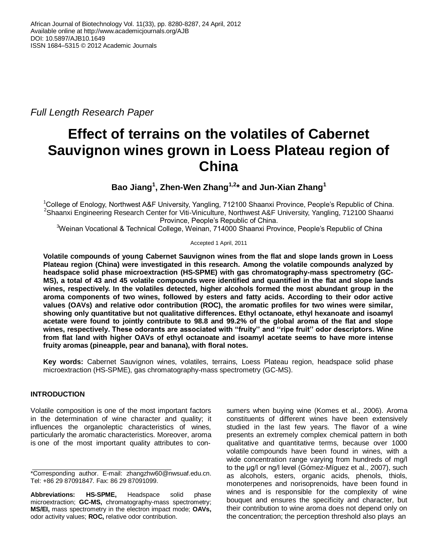*Full Length Research Paper*

# **Effect of terrains on the volatiles of Cabernet Sauvignon wines grown in Loess Plateau region of China**

**Bao Jiang<sup>1</sup> , Zhen-Wen Zhang1,2\* and Jun-Xian Zhang<sup>1</sup>**

<sup>1</sup>College of Enology, Northwest A&F University, Yangling, 712100 Shaanxi Province, People's Republic of China. <sup>2</sup>Shaanxi Engineering Research Center for Viti-Viniculture, Northwest A&F University, Yangling, 712100 Shaanxi Province, People's Republic of China.

<sup>3</sup>Weinan Vocational & Technical College, Weinan, 714000 Shaanxi Province, People's Republic of China

Accepted 1 April, 2011

**Volatile compounds of young Cabernet Sauvignon wines from the flat and slope lands grown in Loess Plateau region (China) were investigated in this research. Among the volatile compounds analyzed by headspace solid phase microextraction (HS-SPME) with gas chromatography-mass spectrometry (GC-MS), a total of 43 and 45 volatile compounds were identified and quantified in the flat and slope lands wines, respectively. In the volatiles detected, higher alcohols formed the most abundant group in the aroma components of two wines, followed by esters and fatty acids. According to their odor active values (OAVs) and relative odor contribution (ROC), the aromatic profiles for two wines were similar, showing only quantitative but not qualitative differences. Ethyl octanoate, ethyl hexanoate and isoamyl acetate were found to jointly contribute to 98.8 and 99.2% of the global aroma of the flat and slope wines, respectively. These odorants are associated with "fruity'' and ''ripe fruit'' odor descriptors. Wine from flat land with higher OAVs of ethyl octanoate and isoamyl acetate seems to have more intense fruity aromas (pineapple, pear and banana), with floral notes.**

**Key words:** Cabernet Sauvignon wines, volatiles, terrains, Loess Plateau region, headspace solid phase microextraction (HS-SPME), gas chromatography-mass spectrometry (GC-MS).

# **INTRODUCTION**

Volatile composition is one of the most important factors in the determination of wine character and quality; it influences the organoleptic characteristics of wines, particularly the aromatic characteristics. Moreover, aroma is one of the most important quality attributes to consumers when buying wine (Komes et al., 2006). Aroma constituents of different wines have been extensively studied in the last few years. The flavor of a wine presents an extremely complex chemical pattern in both qualitative and quantitative terms, because over 1000 volatile compounds have been found in wines, with a wide concentration range varying from hundreds of mg/l to the μg/l or ng/l level (Gómez-Míguez et al., 2007), such as alcohols, esters, organic acids, phenols, thiols, monoterpenes and norisoprenoids, have been found in wines and is responsible for the complexity of wine bouquet and ensures the specificity and character, but their contribution to wine aroma does not depend only on the concentration; the perception threshold also plays an

<sup>\*</sup>Corresponding author. E-mail: zhangzhw60@nwsuaf.edu.cn. Tel: +86 29 87091847. Fax: 86 29 87091099.

**Abbreviations: HS-SPME,** Headspace solid phase microextraction; **GC-MS,** chromatography-mass spectrometry; **MS/EI,** mass spectrometry in the electron impact mode; **OAVs,**  odor activity values; **ROC,** relative odor contribution.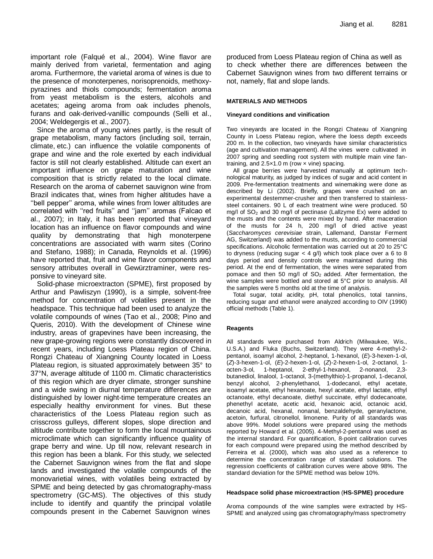important role (Falqué et al., 2004). Wine flavor are mainly derived from varietal, fermentation and aging aroma. Furthermore, the varietal aroma of wines is due to the presence of monoterpenes, norisoprenoids, methoxypyrazines and thiols compounds; fermentation aroma from yeast metabolism is the esters, alcohols and acetates; ageing aroma from oak includes phenols, furans and oak-derived-vanillic compounds (Selli et al., 2004; Weldegergis et al., 2007).

Since the aroma of young wines partly, is the result of grape metabolism, many factors (including soil, terrain, climate, etc.) can influence the volatile components of grape and wine and the role exerted by each individual factor is still not clearly established. Altitude can exert an important influence on grape maturation and wine composition that is strictly related to the local climate. Research on the aroma of cabernet sauvignon wine from Brazil indicates that, wines from higher altitudes have a ''bell pepper'' aroma, while wines from lower altitudes are correlated with "red fruits" and "jam" aromas (Falcao et al., 2007); in Italy, it has been reported that vineyard location has an influence on flavor compounds and wine quality by demonstrating that high monoterpene concentrations are associated with warm sites (Corino and Stefano, 1988); in Canada, Reynolds et al. (1996) have reported that, fruit and wine flavor components and sensory attributes overall in Gewürztraminer, were responsive to vineyard site.

Solid-phase microextracton (SPME), first proposed by Arthur and Pawliszyn (1990), is a simple, solvent-free method for concentration of volatiles present in the headspace. This technique had been used to analyze the volatile compounds of wines (Tao et al., 2008; Pino and Queris, 2010). With the development of Chinese wine industry, areas of grapevines have been increasing, the new grape-growing regions were constantly discovered in recent years, including Loess Plateau region of China. Rongzi Chateau of Xiangning County located in Loess Plateau region, is situated approximately between 35° to 37°N, average altitude of 1100 m. Climatic characteristics of this region which are dryer climate, stronger sunshine and a wide swing in diurnal temperature differences are distinguished by lower night-time temperature creates an especially healthy environment for vines. But these characteristics of the Loess Plateau region such as crisscross gulleys, different slopes, slope direction and altitude contribute together to form the local mountainous microclimate which can significantly influence quality of grape berry and wine. Up till now, relevant research in this region has been a blank. For this study, we selected the Cabernet Sauvignon wines from the flat and slope lands and investigated the volatile compounds of the monovarietial wines, with volatiles being extracted by SPME and being detected by gas chromatography-mass spectrometry (GC-MS). The objectives of this study include to identify and quantify the principal volatile compounds present in the Cabernet Sauvignon wines

produced from Loess Plateau region of China as well as to check whether there are differences between the Cabernet Sauvignon wines from two different terrains or not, namely, flat and slope lands.

#### **MATERIALS AND METHODS**

#### **Vineyard conditions and vinification**

Two vineyards are located in the Rongzi Chateau of Xiangning County in Loess Plateau region, where the loess depth exceeds 200 m. In the collection, two vineyards have similar characteristics (age and cultivation management). All the vines were cultivated in 2007 spring and seedling root system with multiple main vine fantraining, and 2.5×1.0 m (row × vine) spacing.

All grape berries were harvested manually at optimum technological maturity, as judged by indices of sugar and acid content in 2009. Pre-fermentation treatments and winemaking were done as described by Li (2002). Briefly, grapes were crushed on an experimental destemmer-crusher and then transferred to stainlesssteel containers. 90 L of each treatment wine were produced. 50 mg/l of  $SO<sub>2</sub>$  and 30 mg/l of pectinase (Lallzyme Ex) were added to the musts and the contents were mixed by hand. After maceration of the musts for 24 h, 200 mg/l of dried active yeast (*Saccharomyces cerevisiae* strain, Lallemand, Danstar Ferment AG, Switzerland) was added to the musts, according to commercial specifications. Alcoholic fermentation was carried out at 20 to 25°C to dryness (reducing sugar  $<$  4 g/l) which took place over a 6 to 8 days period and density controls were maintained during this period. At the end of fermentation, the wines were separated from pomace and then 50 mg/l of SO<sub>2</sub> added. After fermentation, the wine samples were bottled and stored at 5°C prior to analysis. All the samples were 5 months old at the time of analysis.

Total sugar, total acidity, pH, total phenolics, total tannins, reducing sugar and ethanol were analyzed according to OIV (1990) official methods (Table 1).

#### **Reagents**

All standards were purchased from Aldrich (Milwaukee, Wis., U.S.A.) and Fluka (Buchs, Switzerland). They were 4-methyl-2 pentanol, isoamyl alcohol, 2-heptanol, 1-hexanol, (*E*)-3-hexen-1-ol, (*Z*)-3-hexen-1-ol, (*E*)-2-hexen-1-ol, (*Z*)-2-hexen-1-ol, 2-octanol, 1 octen-3-ol, 1-heptanol, 2-ethyl-1-hexanol, 2-nonanol, 2,3 butanediol, linalool, 1-octanol, 3-(methylthio)-1-propanol, 1-decanol, benzyl alcohol, 2-phenylethanol, 1-dodecanol, ethyl acetate, isoamyl acetate, ethyl hexanoate, hexyl acetate, ethyl lactate, ethyl octanoate, ethyl decanoate, diethyl succinate, ethyl dodecanoate, phenethyl acetate, acetic acid, hexanoic acid, octanoic acid, decanoic acid, hexanal, nonanal, benzaldehyde, geranylactone, acetoin, furfural, citronellol, limonene. Purity of all standards was above 99%. Model solutions were prepared using the methods reported by Howard et al. (2005). 4-Methyl-2-pentanol was used as the internal standard. For quantification, 8-point calibration curves for each compound were prepared using the method described by Ferreira et al. (2000), which was also used as a reference to determine the concentration range of standard solutions. The regression coefficients of calibration curves were above 98%. The standard deviation for the SPME method was below 10%.

#### **Headspace solid phase microextraction** (**HS-SPME) procedure**

Aroma compounds of the wine samples were extracted by HS-SPME and analyzed using gas chromatography/mass spectrometry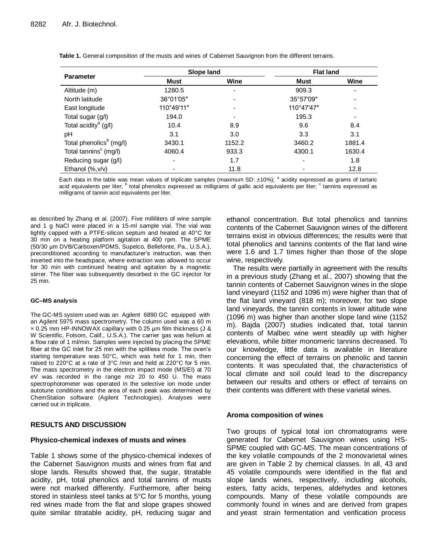| <b>Parameter</b>                    | Slope land               |                          | <b>Flat land</b>    |        |
|-------------------------------------|--------------------------|--------------------------|---------------------|--------|
|                                     | Must                     | Wine                     | Must                | Wine   |
| Altitude (m)                        | 1280.5                   | $\overline{\phantom{a}}$ | 909.3               |        |
| North latitude                      | 36°01'05"                |                          | $35^{\circ}57'09''$ |        |
| East longitude                      | 110°49'11"               |                          | 110°47'47"          |        |
| Total sugar (g/l)                   | 194.0                    |                          | 195.3               | ٠      |
| Total acidity <sup>a</sup> $(g/l)$  | 10.4                     | 8.9                      | 9.6                 | 8.4    |
| pH                                  | 3.1                      | 3.0                      | 3.3                 | 3.1    |
| Total phenolics <sup>b</sup> (mg/l) | 3430.1                   | 1152.2                   | 3460.2              | 1881.4 |
| Total tannins <sup>c</sup> (mg/l)   | 4060.4                   | 933.3                    | 4300.1              | 1630.4 |
| Reducing sugar (g/l)                | $\overline{\phantom{0}}$ | 1.7                      |                     | 1.8    |
| Ethanol $(\%$ , $v/v)$              |                          | 11.8                     |                     | 12.8   |

**Table 1.** General composition of the musts and wines of Cabernet Sauvignon from the different terrains.

Each data in the table was mean values of triplicate samples (maximum SD:  $\pm 10\%$ ); <sup>a</sup> acidity expressed as grams of tartaric acid equivalents per liter; <sup>b</sup> total phenolics expressed as milligrams of gallic acid equivalents per liter; <sup>c</sup> tannins expressed as milligrams of tannin acid equivalents per liter.

as described by Zhang et al. (2007). Five milliliters of wine sample and 1 g NaCl were placed in a 15-ml sample vial. The vial was tightly capped with a PTFE-silicon septum and heated at 40°C for 30 min on a heating platform agitation at 400 rpm. The SPME (50/30 μm DVB/Carboxen/PDMS, Supelco, Bellefonte, Pa., U.S.A.), preconditioned according to manufacturer's instruction, was then inserted into the headspace, where extraction was allowed to occur for 30 min with continued heating and agitation by a magnetic stirrer. The fiber was subsequently desorbed in the GC injector for 25 min.

#### **GC–MS analysis**

The GC-MS system used was an Agilent 6890 GC equipped with an Agilent 5975 mass spectrometry. The column used was a 60 m × 0.25 mm HP-INNOWAX capillary with 0.25 μm film thickness (J & W Scientific, Folsom, Calif., U.S.A.). The carrier gas was helium at a flow rate of 1 ml/min. Samples were injected by placing the SPME fiber at the GC inlet for 25 min with the splitless mode. The oven's starting temperature was 50°C, which was held for 1 min, then raised to 220°C at a rate of 3°C /min and held at 220°C for 5 min. The mass spectrometry in the electron impact mode (MS/EI) at 70 eV was recorded in the range *m*/*z* 20 to 450 U. The mass spectrophotometer was operated in the selective ion mode under autotune conditions and the area of each peak was determined by ChemStation software (Agilent Technologies). Analyses were carried out in triplicate.

## **RESULTS AND DISCUSSION**

## **Physico-chemical indexes of musts and wines**

Table 1 shows some of the physico-chemical indexes of the Cabernet Sauvignon musts and wines from flat and slope lands. Results showed that, the sugar, titratable acidity, pH, total phenolics and total tannins of musts were not marked differently. Furthermore, after being stored in stainless steel tanks at 5°C for 5 months, young red wines made from the flat and slope grapes showed quite similar titratable acidity, pH, reducing sugar and ethanol concentration. But total phenolics and tannins contents of the Cabernet Sauvignon wines of the different terrains exist in obvious differences; the results were that total phenolics and tannins contents of the flat land wine were 1.6 and 1.7 times higher than those of the slope wine, respectively.

The results were partially in agreement with the results in a previous study (Zhang et al., 2007) showing that the tannin contents of Cabernet Sauvignon wines in the slope land vineyard (1152 and 1096 m) were higher than that of the flat land vineyard (818 m); moreover, for two slope land vineyards, the tannin contents in lower altitude wine (1096 m) was higher than another slope land wine (1152 m). Bajda (2007) studies indicated that, total tannin contents of Malbec wine went steadily up with higher elevations, while bitter monomeric tannins decreased. To our knowledge, little data is available in literature concerning the effect of terrains on phenolic and tannin contents. It was speculated that, the characteristics of local climate and soil could lead to the discrepancy between our results and others or effect of terrains on their contents was different with these varietal wines.

## **Aroma composition of wines**

Two groups of typical total ion chromatograms were generated for Cabernet Sauvignon wines using HS-SPME coupled with GC-MS. The mean concentrations of the key volatile compounds of the 2 monovarietal wines are given in Table 2 by chemical classes. In all, 43 and 45 volatile compounds were identified in the flat and slope lands wines, respectively, including alcohols, esters, fatty acids, terpenes, aldehydes and ketones compounds. Many of these volatile compounds are commonly found in wines and are derived from grapes and yeast strain fermentation and verification process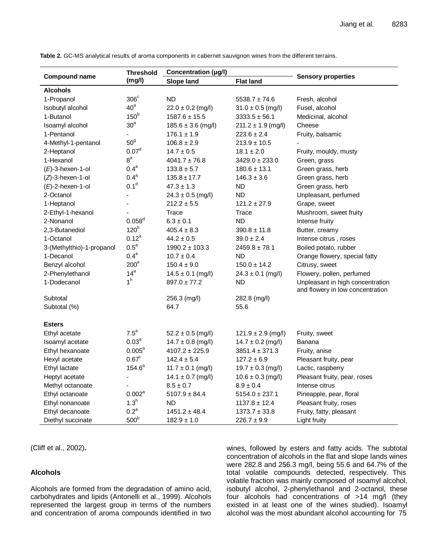|                           | <b>Threshold</b>    | Concentration (µg/l)   |                        |                                                                      |  |
|---------------------------|---------------------|------------------------|------------------------|----------------------------------------------------------------------|--|
| <b>Compound name</b>      | (mg/l)              | Slope land             | <b>Flat land</b>       | <b>Sensory properties</b>                                            |  |
| <b>Alcohols</b>           |                     |                        |                        |                                                                      |  |
| 1-Propanol                | $306^{\circ}$       | <b>ND</b>              | $5538.7 \pm 74.6$      | Fresh, alcohol                                                       |  |
| Isobutyl alcohol          | 40 <sup>a</sup>     | $22.0 \pm 0.2$ (mg/l)  | $31.0 \pm 0.5$ (mg/l)  | Fusel, alcohol                                                       |  |
| 1-Butanol                 | 150 <sup>b</sup>    | $1587.6 \pm 15.5$      | $3333.5 \pm 56.1$      | Medicinal, alcohol                                                   |  |
| Isoamyl alcohol           | 30 <sup>a</sup>     | $185.6 \pm 3.6$ (mg/l) | $211.2 \pm 1.9$ (mg/l) | Cheese                                                               |  |
| 1-Pentanol                |                     | $176.1 \pm 1.9$        | $223.6 \pm 2.4$        | Fruity, balsamic                                                     |  |
| 4-Methyl-1-pentanol       | 50 <sup>9</sup>     | $106.8 \pm 2.9$        | $213.9 \pm 10.5$       |                                                                      |  |
| 2-Heptanol                | 0.07 <sup>d</sup>   | $14.7 \pm 0.5$         | $18.1 \pm 2.0$         | Fruity, mouldy, musty                                                |  |
| 1-Hexanol                 | 8 <sup>a</sup>      | $4041.7 \pm 76.8$      | $3429.0 \pm 233.0$     | Green, grass                                                         |  |
| $(E)$ -3-hexen-1-ol       | 0.4 <sup>a</sup>    | $133.8 \pm 5.7$        | $180.6 \pm 13.1$       | Green grass, herb                                                    |  |
| $(Z)-3$ -hexen-1-ol       | 0.4 <sup>a</sup>    | $135.8 \pm 17.7$       | $146.3 \pm 3.6$        | Green grass, herb                                                    |  |
| $(E)$ -2-hexen-1-ol       | 0.1 <sup>d</sup>    | $47.3 \pm 1.3$         | <b>ND</b>              | Green grass, herb                                                    |  |
| 2-Octanol                 | ä,                  | $24.3 \pm 0.5$ (mg/l)  | <b>ND</b>              | Unpleasant, perfumed                                                 |  |
| 1-Heptanol                |                     | $212.2 \pm 5.5$        | $121.2 \pm 27.9$       | Grape, sweet                                                         |  |
| 2-Ethyl-1-hexanol         |                     | Trace                  | Trace                  | Mushroom, sweet fruity                                               |  |
| 2-Nonanol                 | 0.058 <sup>d</sup>  | $6.3 \pm 0.1$          | <b>ND</b>              | Intense fruity                                                       |  |
| 2,3-Butanediol            | 120 <sup>h</sup>    | $405.4 \pm 8.3$        | $390.8 \pm 11.8$       | Butter, creamy                                                       |  |
| 1-Octanol                 | $0.12^{a}$          | $44.2 \pm 0.5$         | $39.0 \pm 2.4$         | Intense citrus, roses                                                |  |
| 3-(Methylthio)-1-propanol | $0.5^a$             | $1990.2 \pm 103.3$     | $2459.8 \pm 78.1$      | Boiled potato, rubber                                                |  |
| 1-Decanol                 | 0.4 <sup>a</sup>    | $10.7 \pm 0.4$         | <b>ND</b>              | Orange flowery, special fatty                                        |  |
| Benzyl alcohol            | 200 <sup>e</sup>    | $150.4 \pm 9.0$        | $150.0 \pm 14.2$       | Citrusy, sweet                                                       |  |
| 2-Phenylethanol           | 14 <sup>a</sup>     | $14.5 \pm 0.1$ (mg/l)  | $24.3 \pm 0.1$ (mg/l)  | Flowery, pollen, perfumed                                            |  |
| 1-Dodecanol               | 1 <sup>h</sup>      | $897.0 \pm 77.2$       | <b>ND</b>              | Unpleasant in high concentration<br>and flowery in low concentration |  |
| Subtotal                  |                     | 256.3 (mg/l)           | 282.8 (mg/l)           |                                                                      |  |
| Subtotal (%)              |                     | 64.7                   | 55.6                   |                                                                      |  |
|                           |                     |                        |                        |                                                                      |  |
| <b>Esters</b>             |                     |                        |                        |                                                                      |  |
| Ethyl acetate             | $7.5^a$             | $52.2 \pm 0.5$ (mg/l)  | $121.9 \pm 2.9$ (mg/l) | Fruity, sweet                                                        |  |
| Isoamyl acetate           | 0.03 <sup>a</sup>   | $14.7 \pm 0.8$ (mg/l)  | $14.7 \pm 0.2$ (mg/l)  | Banana                                                               |  |
| Ethyl hexanoate           | $0.005^{\text{a}}$  | $4107.2 \pm 225.9$     | $3851.4 \pm 371.3$     | Fruity, anise                                                        |  |
| Hexyl acetate             | $0.67$ <sup>c</sup> | $142.4 \pm 5.4$        | $127.2 \pm 6.9$        | Pleasant fruity, pear                                                |  |
| Ethyl lactate             | $154.6^{b}$         | $11.7 \pm 0.1$ (mg/l)  | $19.7 \pm 0.3$ (mg/l)  | Lactic, raspberry                                                    |  |
| Heptyl acetate            |                     | $14.1 \pm 0.7$ (mg/l)  | $10.6 \pm 0.3$ (mg/l)  | Pleasant fruity, pear, roses                                         |  |
| Methyl octanoate          |                     | $8.5 \pm 0.7$          | $8.9 \pm 0.4$          | Intense citrus                                                       |  |
| Ethyl octanoate           | 0.002 <sup>a</sup>  | $5107.9 \pm 84.4$      | $5154.0 \pm 237.1$     | Pineapple, pear, floral                                              |  |
| Ethyl nonanoate           | $1.3^h$             | <b>ND</b>              | $1137.8 \pm 12.4$      | Pleasant fruity, roses                                               |  |
| Ethyl decanoate           | $0.2^a$             | $1451.2 \pm 48.4$      | $1373.7 \pm 33.8$      | Fruity, fatty, pleasant                                              |  |
| Diethyl succinate         | 500 <sup>b</sup>    | $182.9 \pm 1.0$        | $226.7 \pm 9.9$        | Light fruity                                                         |  |

**Table 2.** GC-MS analytical results of aroma components in cabernet sauvignon wines from the different terrains.

(Cliff et al., 2002)**.** 

# **Alcohols**

Alcohols are formed from the degradation of amino acid, carbohydrates and lipids (Antonelli et al., 1999). Alcohols represented the largest group in terms of the numbers and concentration of aroma compounds identified in two wines, followed by esters and fatty acids. The subtotal concentration of alcohols in the flat and slope lands wines were 282.8 and 256.3 mg/l, being 55.6 and 64.7% of the total volatile compounds detected, respectively. This volatile fraction was mainly composed of isoamyl alcohol, isobutyl alcohol, 2-phenylethanol and 2-octanol, these four alcohols had concentrations of >14 mg/l (they existed in at least one of the wines studied). Isoamyl alcohol was the most abundant alcohol accounting for 75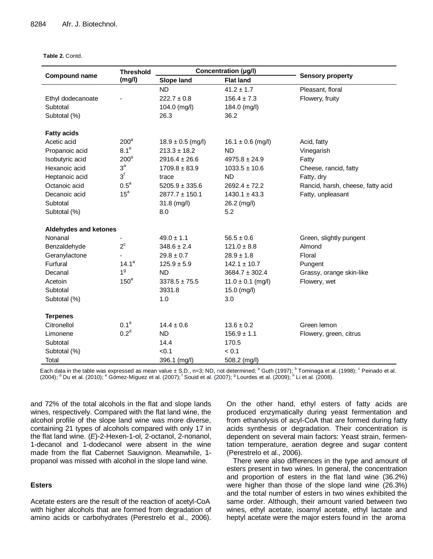#### **Table 2.** Contd.

|                              | <b>Threshold</b> | Concentration (µg/l)  |                       |                                   |  |
|------------------------------|------------------|-----------------------|-----------------------|-----------------------------------|--|
| <b>Compound name</b>         | (mg/l)           | <b>Slope land</b>     | <b>Flat land</b>      | <b>Sensory property</b>           |  |
|                              |                  | <b>ND</b>             | $41.2 \pm 1.7$        | Pleasant, floral                  |  |
| Ethyl dodecanoate            |                  | $222.7 \pm 0.8$       | $156.4 \pm 7.3$       | Flowery, fruity                   |  |
| Subtotal                     |                  | 104.0 (mg/l)          | 184.0 (mg/l)          |                                   |  |
| Subtotal (%)                 |                  | 26.3                  | 36.2                  |                                   |  |
| <b>Fatty acids</b>           |                  |                       |                       |                                   |  |
| Acetic acid                  | 200 <sup>a</sup> | $18.9 \pm 0.5$ (mg/l) | $16.1 \pm 0.6$ (mg/l) | Acid, fatty                       |  |
| Propanoic acid               | 8.1 <sup>e</sup> | $213.3 \pm 18.2$      | <b>ND</b>             | Vinegarish                        |  |
| Isobutyric acid              | $200^a$          | $2916.4 \pm 26.6$     | $4975.8 \pm 24.9$     | Fatty                             |  |
| Hexanoic acid                | $3^a$            | $1709.8 \pm 83.9$     | $1033.5 \pm 10.6$     | Cheese, rancid, fatty             |  |
| Heptanoic acid               | $3^f$            | trace                 | <b>ND</b>             | Fatty, dry                        |  |
| Octanoic acid                | $0.5^a$          | $5205.9 \pm 335.6$    | $2692.4 \pm 72.2$     | Rancid, harsh, cheese, fatty acid |  |
| Decanoic acid                | 15 <sup>a</sup>  | $2877.7 \pm 150.1$    | $1430.1 \pm 43.3$     | Fatty, unpleasant                 |  |
| Subtotal                     |                  | $31.8$ (mg/l)         | 26.2 (mg/l)           |                                   |  |
| Subtotal (%)                 |                  | 8.0                   | 5.2                   |                                   |  |
| <b>Aldehydes and ketones</b> |                  |                       |                       |                                   |  |
| Nonanal                      |                  | $49.0 \pm 1.1$        | $56.5 \pm 0.6$        | Green, slightly pungent           |  |
| Benzaldehyde                 | $2^{\circ}$      | $348.6 \pm 2.4$       | $121.0 \pm 8.8$       | Almond                            |  |
| Geranylactone                |                  | $29.8 \pm 0.7$        | $28.9 \pm 1.8$        | Floral                            |  |
| Furfural                     | $14.1^a$         | $125.9 \pm 5.9$       | $142.1 \pm 10.7$      | Pungent                           |  |
| Decanal                      | 1 <sup>9</sup>   | <b>ND</b>             | $3684.7 \pm 302.4$    | Grassy, orange skin-like          |  |
| Acetoin                      | $150^a$          | $3378.5 \pm 75.5$     | $11.0 \pm 0.1$ (mg/l) | Flowery, wet                      |  |
| Subtotal                     |                  | 3931.8                | 15.0 (mg/l)           |                                   |  |
| Subtotal (%)                 |                  | 1.0                   | 3.0                   |                                   |  |
| <b>Terpenes</b>              |                  |                       |                       |                                   |  |
| Citronellol                  | 0.1 <sup>a</sup> | $14.4 \pm 0.6$        | $13.6 \pm 0.2$        | Green lemon                       |  |
| Limonene                     | 0.2 <sup>d</sup> | <b>ND</b>             | $156.9 \pm 1.1$       | Flowery, green, citrus            |  |
| Subtotal                     |                  | 14.4                  | 170.5                 |                                   |  |
| Subtotal (%)                 |                  | < 0.1                 | < 0.1                 |                                   |  |
| Total                        |                  | 396.1 (mg/l)          | 508.2 (mg/l)          |                                   |  |

Each data in the table was expressed as mean value  $\pm$  S.D., n=3; ND, not determined; <sup>a</sup> Guth (1997); <sup>b</sup> Tominaga et al. (1998); <sup>c</sup> Peinado et al. (2004);  $^{\rm d}$  Du et al. (2010);  $^{\rm e}$  Gómez-Míguez et al. (2007);  $^{\rm f}$  Souid et al. (2007);  $^{\rm g}$  Lourdes et al. (2009);  $^{\rm h}$  Li et al. (2008).

and 72% of the total alcohols in the flat and slope lands wines, respectively. Compared with the flat land wine, the alcohol profile of the slope land wine was more diverse, containing 21 types of alcohols compared with only 17 in the flat land wine. (*E*)-2-Hexen-1-ol, 2-octanol, 2-nonanol, 1-decanol and 1-dodecanol were absent in the wine made from the flat Cabernet Sauvignon. Meanwhile, 1 propanol was missed with alcohol in the slope land wine.

# **Esters**

Acetate esters are the result of the reaction of acetyl-CoA with higher alcohols that are formed from degradation of amino acids or carbohydrates (Perestrelo et al., 2006). On the other hand, ethyl esters of fatty acids are produced enzymatically during yeast fermentation and from ethanolysis of acyl-CoA that are formed during fatty acids synthesis or degradation. Their concentration is dependent on several main factors: Yeast strain, fermentation temperature, aeration degree and sugar content (Perestrelo et al., 2006).

There were also differences in the type and amount of esters present in two wines. In general, the concentration and proportion of esters in the flat land wine (36.2%) were higher than those of the slope land wine (26.3%) and the total number of esters in two wines exhibited the same order. Although, their amount varied between two wines, ethyl acetate, isoamyl acetate, ethyl lactate and heptyl acetate were the major esters found in the aroma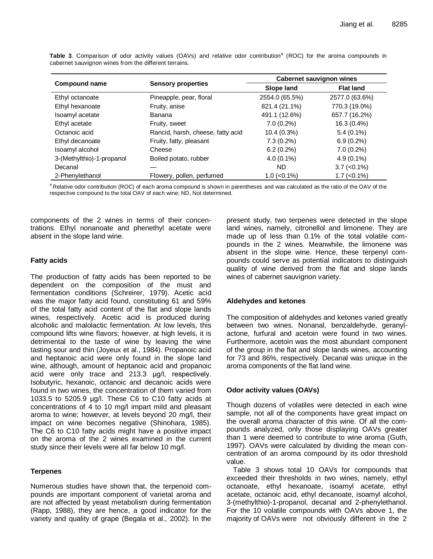|                           |                                   | <b>Cabernet sauvignon wines</b> |                    |  |
|---------------------------|-----------------------------------|---------------------------------|--------------------|--|
| <b>Compound name</b>      | <b>Sensory properties</b>         | Slope land                      | <b>Flat land</b>   |  |
| Ethyl octanoate           | Pineapple, pear, floral           | 2554.0 (65.5%)                  | 2577.0 (63.6%)     |  |
| Ethyl hexanoate           | Fruity, anise                     | 821.4 (21.1%)                   | 770.3 (19.0%)      |  |
| Isoamyl acetate           | Banana                            | 491.1 (12.6%)                   | 657.7 (16.2%)      |  |
| Ethyl acetate             | Fruity, sweet                     | $7.0(0.2\%)$                    | 16.3 (0.4%)        |  |
| Octanoic acid             | Rancid, harsh, cheese, fatty acid | 10.4(0.3%)                      | $5.4(0.1\%)$       |  |
| Ethyl decanoate           | Fruity, fatty, pleasant           | $7.3(0.2\%)$                    | $6.9(0.2\%)$       |  |
| Isoamyl alcohol           | Cheese                            | $6.2(0.2\%)$                    | $7.0(0.2\%)$       |  |
| 3-(Methylthio)-1-propanol | Boiled potato, rubber             | $4.0(0.1\%)$                    | $4.9(0.1\%)$       |  |
| Decanal                   |                                   | ND.                             | $3.7$ (< $0.1\%$ ) |  |
| 2-Phenylethanol           | Flowery, pollen, perfumed         | $1.0$ (< $0.1\%$ )              | $1.7$ (< $0.1\%$ ) |  |

Table 3. Comparison of odor activity values (OAVs) and relative odor contribution<sup>a</sup> (ROC) for the aroma compounds in cabernet sauvignon wines from the different terrains.

<sup>a</sup> Relative odor contribution (ROC) of each aroma compound is shown in parentheses and was calculated as the ratio of the OAV of the respective compound to the total OAV of each wine; ND, Not determined.

components of the 2 wines in terms of their concentrations. Ethyl nonanoate and phenethyl acetate were absent in the slope land wine.

## **Fatty acids**

The production of fatty acids has been reported to be dependent on the composition of the must and fermentation conditions (Schreirer, 1979). Acetic acid was the major fatty acid found, constituting 61 and 59% of the total fatty acid content of the flat and slope lands wines, respectively. Acetic acid is produced during alcoholic and malolactic fermentation. At low levels, this compound lifts wine flavors; however, at high levels, it is detrimental to the taste of wine by leaving the wine tasting sour and thin (Joyeux et al., 1984). Propanoic acid and heptanoic acid were only found in the slope land wine, although, amount of heptanoic acid and propanoic acid were only trace and 213.3 μg/l, respectively. Isobutyric, hexanoic, octanoic and decanoic acids were found in two wines, the concentration of them varied from 1033.5 to 5205.9 μg/l. These C6 to C10 fatty acids at concentrations of 4 to 10 mg/l impart mild and pleasant aroma to wine; however, at levels beyond 20 mg/l, their impact on wine becomes negative (Shinohara, 1985). The C6 to C10 fatty acids might have a positive impact on the aroma of the 2 wines examined in the current study since their levels were all far below 10 mg/l.

# **Terpenes**

Numerous studies have shown that, the terpenoid compounds are important component of varietal aroma and are not affected by yeast metabolism during fermentation (Rapp, 1988), they are hence, a good indicator for the variety and quality of grape (Begala et al., 2002). In the present study, two terpenes were detected in the slope land wines, namely, citronellol and limonene. They are made up of less than 0.1% of the total volatile compounds in the 2 wines. Meanwhile, the limonene was absent in the slope wine. Hence, these terpenyl compounds could serve as potential indicators to distinguish quality of wine derived from the flat and slope lands wines of cabernet sauvignon variety.

# **Aldehydes and ketones**

The composition of aldehydes and ketones varied greatly between two wines. Nonanal, benzaldehyde, geranylactone, furfural and acetoin were found in two wines. Furthermore, acetoin was the most abundant component of the group in the flat and slope lands wines, accounting for 73 and 86%, respectively. Decanal was unique in the aroma components of the flat land wine.

# **Odor activity values (OAVs)**

Though dozens of volatiles were detected in each wine sample, not all of the components have great impact on the overall aroma character of this wine. Of all the compounds analyzed, only those displaying OAVs greater than 1 were deemed to contribute to wine aroma (Guth, 1997). OAVs were calculated by dividing the mean concentration of an aroma compound by its odor threshold value.

Table 3 shows total 10 OAVs for compounds that exceeded their thresholds in two wines, namely, ethyl octanoate, ethyl hexanoate, isoamyl acetate, ethyl acetate, octanoic acid, ethyl decanoate, isoamyl alcohol, 3-(methylthio)-1-propanol, decanal and 2-phenylethanol. For the 10 volatile compounds with OAVs above 1, the majority of OAVs were not obviously different in the 2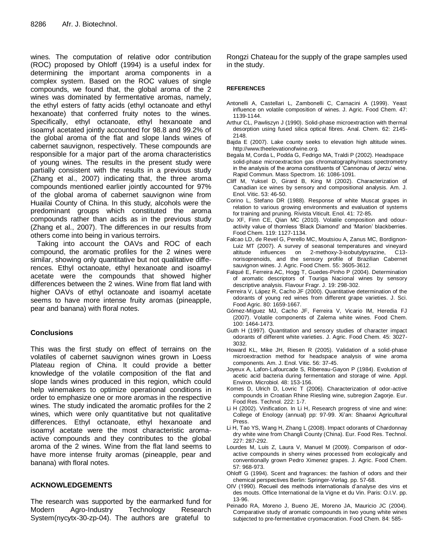wines. The computation of relative odor contribution (ROC) proposed by Ohloff (1994) is a useful index for determining the important aroma components in a complex system. Based on the ROC values of single compounds, we found that, the global aroma of the 2 wines was dominated by fermentative aromas, namely, the ethyl esters of fatty acids (ethyl octanoate and ethyl hexanoate) that conferred fruity notes to the wines. Specifically, ethyl octanoate, ethyl hexanoate and isoamyl acetated jointly accounted for 98.8 and 99.2% of the global aroma of the flat and slope lands wines of cabernet sauvignon, respectively. These compounds are responsible for a major part of the aroma characteristics of young wines. The results in the present study were partially consistent with the results in a previous study (Zhang et al., 2007) indicating that, the three aroma compounds mentioned earlier jointly accounted for 97% of the global aroma of cabernet sauvignon wine from Huailai County of China. In this study, alcohols were the predominant groups which constituted the aroma compounds rather than acids as in the previous study (Zhang et al., 2007). The differences in our results from others come into being in various terroirs.

Taking into account the OAVs and ROC of each compound, the aromatic profiles for the 2 wines were similar, showing only quantitative but not qualitative differences. Ethyl octanoate, ethyl hexanoate and isoamyl acetate were the compounds that showed higher differences between the 2 wines. Wine from flat land with higher OAVs of ethyl octanoate and isoamyl acetate seems to have more intense fruity aromas (pineapple, pear and banana) with floral notes.

# **Conclusions**

This was the first study on effect of terrains on the volatiles of cabernet sauvignon wines grown in Loess Plateau region of China. It could provide a better knowledge of the volatile composition of the flat and slope lands wines produced in this region, which could help winemakers to optimize operational conditions in order to emphasize one or more aromas in the respective wines. The study indicated the aromatic profiles for the 2 wines, which were only quantitative but not qualitative differences. Ethyl octanoate, ethyl hexanoate and isoamyl acetate were the most characteristic aromaactive compounds and they contributes to the global aroma of the 2 wines. Wine from the flat land seems to have more intense fruity aromas (pineapple, pear and banana) with floral notes.

# **ACKNOWLEDGEMENTS**

The research was supported by the earmarked fund for Modern Agro-Industry Technology Research System(nycytx-30-zp-04). The authors are grateful to

Rongzi Chateau for the supply of the grape samples used in the study.

## **REFERENCES**

- Antonelli A, Castellari L, Zambonelli C, Carnacini A (1999). Yeast influence on volatile composition of wines. J. Agric. Food Chem. 47: 1139-1144.
- Arthur CL, Pawliszyn J (1990). Solid-phase microextraction with thermal desorption using fused silica optical fibres. Anal. Chem. 62: 2145- 2148.
- Bajda E (2007). Lake county seeks to elevation high altitude wines. http://www.theelevationofwine.org.
- Begala M, Corda L, Podda G, Fedrigo MA, Traldi P (2002). Headspace solid-phase microextraction gas chromatography/mass spectrometry in the analysis of the aroma constituents of 'Cannonau of Jerzu' wine. Rapid Commun. Mass Spectrom. 16: 1086-1091.
- Cliff M, Yuksel D, Girard B, King M (2002). Characterization of Canadian ice wines by sensory and compositional analysis. Am. J. Enol. Vitic. 53: 46-50.
- Corino L, Stefano DR (1988). Response of white Muscat grapes in relation to various growing environments and evaluation of systems for training and pruning. Rivista Viticult. Enol. 41: 72-85.
- Du XF, Finn CE, Qian MC (2010). Volatile composition and odouractivity value of thornless 'Black Diamond' and 'Marion' blackberries. Food Chem. 119: 1127-1134.
- Falcao LD, de Revel G, Perello MC, Moutsiou A, Zanus MC, Bordignon-Luiz MT (2007). A survey of seasonal temperatures and vineyard altitude influences on 2-methoxy-3-isobutylpyrazine, C13 norisoprenoids, and the sensory profile of Brazilian Cabernet sauvignon wines. J. Agric. Food Chem. 55: 3605-3612.
- Falqué E, Ferreira AC, Hogg T, Guedes-Pinho P (2004). Determination of aromatic descriptors of Touriga Nacional wines by sensory descriptive analysis. Flavour Fragr. J. 19: 298-302.
- Ferreira V, Lápez R, Cacho JF (2000). Quantitative determination of the odorants of young red wines from different grape varieties. J. Sci. Food Agric. 80: 1659-1667.
- Gómez-Míguez MJ, Cacho JF, Ferreira V, Vicario IM, Heredia FJ (2007). Volatile components of Zalema white wines. Food Chem. 100: 1464-1473.
- Guth H (1997). Quantitation and sensory studies of character impact odorants of different white varieties. J. Agric. Food Chem. 45: 3027- 3032.
- Howard KL, Mike JH, Riesen R (2005). Validation of a solid-phase microextraction method for headspace analysis of wine aroma components. Am. J. Enol. Vitic. 56: 37-45.
- Joyeux A, Lafon-Lafourcade S, Ribereau-Gayon P (1984). Evolution of acetic acid bacteria during fermentation and storage of wine. Appl. Environ. Microbiol. 48: 153-156.
- Komes D, Ulrich D, Lovric T (2006). Characterization of odor-active compounds in Croatian Rhine Riesling wine, subregion Zagorje. Eur. Food Res. Technol. 222: 1-7.
- Li H (2002). Vinification. In Li H, Research progress of vine and wine: College of Enology (annual) pp: 97-99. Xi'an: Shaanxi Agricultural Press.
- Li H, Tao YS, Wang H, Zhang L (2008). Impact odorants of Chardonnay dry white wine from Changli County (China). Eur. Food Res. Technol. 227: 287-292.
- Lourdes M, Luis Z, Laura V, Manuel M (2009). Comparison of odoractive compounds in sherry wines processed from ecologically and conventionally grown Pedro Ximenez grapes. J. Agric. Food Chem. 57: 968-973.
- Ohloff G (1994). Scent and fragrances: the fashion of odors and their chemical perspectives Berlin: Springer-Verlag. pp. 57-68.
- OIV (1990). Recueil des methods internationals d'analyse des vins et des mouts. Office International de la Vigne et du Vin. Paris: O.I.V. pp. 13-96.
- Peinado RA, Moreno J, Bueno JE, Moreno JA, Mauricio JC (2004). Comparative study of aromatic compounds in two young white wines subjected to pre-fermentative cryomaceration. Food Chem. 84: 585-